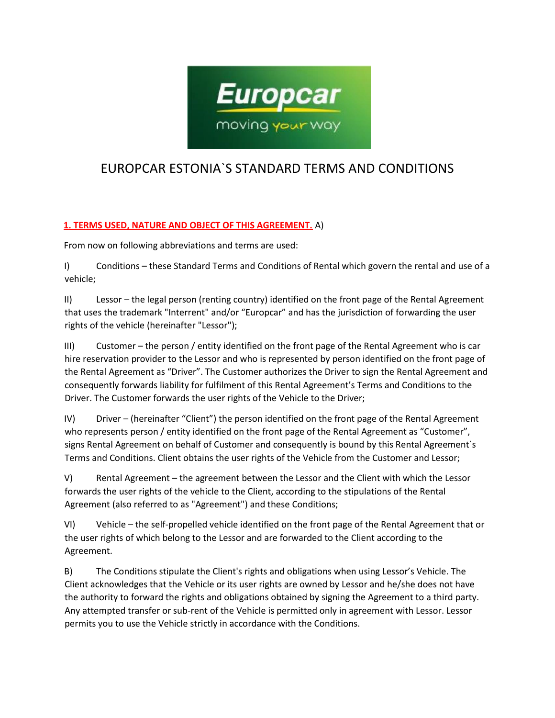

# EUROPCAR ESTONIA`S STANDARD TERMS AND CONDITIONS

# **1. TERMS USED, NATURE AND OBJECT OF THIS AGREEMENT.** A)

From now on following abbreviations and terms are used:

I) Conditions – these Standard Terms and Conditions of Rental which govern the rental and use of a vehicle;

II) Lessor – the legal person (renting country) identified on the front page of the Rental Agreement that uses the trademark "Interrent" and/or "Europcar" and has the jurisdiction of forwarding the user rights of the vehicle (hereinafter "Lessor");

III) Customer – the person / entity identified on the front page of the Rental Agreement who is car hire reservation provider to the Lessor and who is represented by person identified on the front page of the Rental Agreement as "Driver". The Customer authorizes the Driver to sign the Rental Agreement and consequently forwards liability for fulfilment of this Rental Agreement's Terms and Conditions to the Driver. The Customer forwards the user rights of the Vehicle to the Driver;

IV) Driver – (hereinafter "Client") the person identified on the front page of the Rental Agreement who represents person / entity identified on the front page of the Rental Agreement as "Customer", signs Rental Agreement on behalf of Customer and consequently is bound by this Rental Agreement`s Terms and Conditions. Client obtains the user rights of the Vehicle from the Customer and Lessor;

V) Rental Agreement – the agreement between the Lessor and the Client with which the Lessor forwards the user rights of the vehicle to the Client, according to the stipulations of the Rental Agreement (also referred to as "Agreement") and these Conditions;

VI) Vehicle – the self-propelled vehicle identified on the front page of the Rental Agreement that or the user rights of which belong to the Lessor and are forwarded to the Client according to the Agreement.

B) The Conditions stipulate the Client's rights and obligations when using Lessor's Vehicle. The Client acknowledges that the Vehicle or its user rights are owned by Lessor and he/she does not have the authority to forward the rights and obligations obtained by signing the Agreement to a third party. Any attempted transfer or sub-rent of the Vehicle is permitted only in agreement with Lessor. Lessor permits you to use the Vehicle strictly in accordance with the Conditions.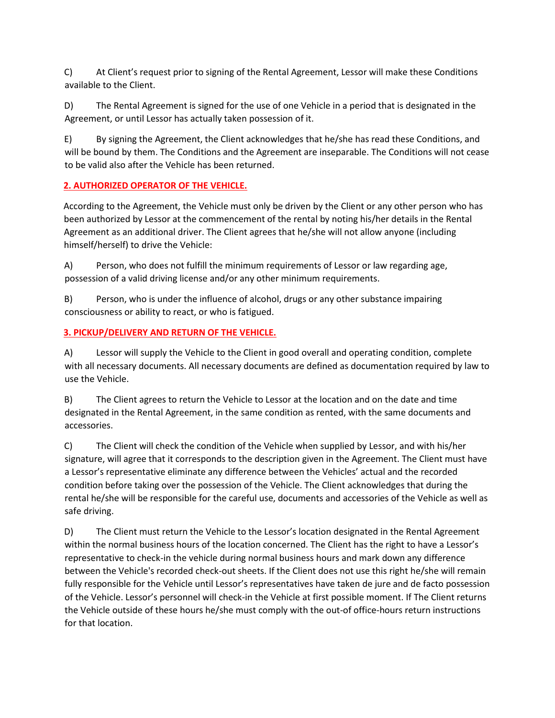C) At Client's request prior to signing of the Rental Agreement, Lessor will make these Conditions available to the Client.

D) The Rental Agreement is signed for the use of one Vehicle in a period that is designated in the Agreement, or until Lessor has actually taken possession of it.

E) By signing the Agreement, the Client acknowledges that he/she has read these Conditions, and will be bound by them. The Conditions and the Agreement are inseparable. The Conditions will not cease to be valid also after the Vehicle has been returned.

# **2. AUTHORIZED OPERATOR OF THE VEHICLE.**

According to the Agreement, the Vehicle must only be driven by the Client or any other person who has been authorized by Lessor at the commencement of the rental by noting his/her details in the Rental Agreement as an additional driver. The Client agrees that he/she will not allow anyone (including himself/herself) to drive the Vehicle:

A) Person, who does not fulfill the minimum requirements of Lessor or law regarding age, possession of a valid driving license and/or any other minimum requirements.

B) Person, who is under the influence of alcohol, drugs or any other substance impairing consciousness or ability to react, or who is fatigued.

## **3. PICKUP/DELIVERY AND RETURN OF THE VEHICLE.**

A) Lessor will supply the Vehicle to the Client in good overall and operating condition, complete with all necessary documents. All necessary documents are defined as documentation required by law to use the Vehicle.

B) The Client agrees to return the Vehicle to Lessor at the location and on the date and time designated in the Rental Agreement, in the same condition as rented, with the same documents and accessories.

C) The Client will check the condition of the Vehicle when supplied by Lessor, and with his/her signature, will agree that it corresponds to the description given in the Agreement. The Client must have a Lessor's representative eliminate any difference between the Vehicles' actual and the recorded condition before taking over the possession of the Vehicle. The Client acknowledges that during the rental he/she will be responsible for the careful use, documents and accessories of the Vehicle as well as safe driving.

D) The Client must return the Vehicle to the Lessor's location designated in the Rental Agreement within the normal business hours of the location concerned. The Client has the right to have a Lessor's representative to check-in the vehicle during normal business hours and mark down any difference between the Vehicle's recorded check-out sheets. If the Client does not use this right he/she will remain fully responsible for the Vehicle until Lessor's representatives have taken de jure and de facto possession of the Vehicle. Lessor's personnel will check-in the Vehicle at first possible moment. If The Client returns the Vehicle outside of these hours he/she must comply with the out-of office-hours return instructions for that location.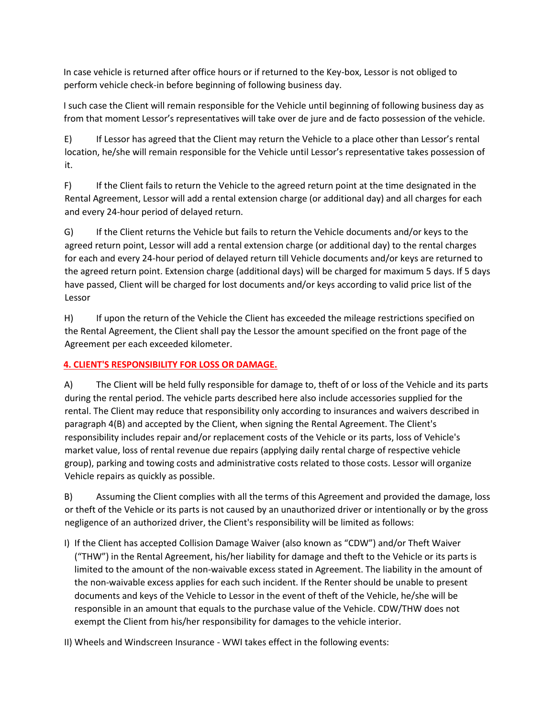In case vehicle is returned after office hours or if returned to the Key-box, Lessor is not obliged to perform vehicle check-in before beginning of following business day.

I such case the Client will remain responsible for the Vehicle until beginning of following business day as from that moment Lessor's representatives will take over de jure and de facto possession of the vehicle.

E) If Lessor has agreed that the Client may return the Vehicle to a place other than Lessor's rental location, he/she will remain responsible for the Vehicle until Lessor's representative takes possession of it.

F) If the Client fails to return the Vehicle to the agreed return point at the time designated in the Rental Agreement, Lessor will add a rental extension charge (or additional day) and all charges for each and every 24-hour period of delayed return.

G) If the Client returns the Vehicle but fails to return the Vehicle documents and/or keys to the agreed return point, Lessor will add a rental extension charge (or additional day) to the rental charges for each and every 24-hour period of delayed return till Vehicle documents and/or keys are returned to the agreed return point. Extension charge (additional days) will be charged for maximum 5 days. If 5 days have passed, Client will be charged for lost documents and/or keys according to valid price list of the Lessor

H) If upon the return of the Vehicle the Client has exceeded the mileage restrictions specified on the Rental Agreement, the Client shall pay the Lessor the amount specified on the front page of the Agreement per each exceeded kilometer.

# **4. CLIENT'S RESPONSIBILITY FOR LOSS OR DAMAGE.**

A) The Client will be held fully responsible for damage to, theft of or loss of the Vehicle and its parts during the rental period. The vehicle parts described here also include accessories supplied for the rental. The Client may reduce that responsibility only according to insurances and waivers described in paragraph 4(B) and accepted by the Client, when signing the Rental Agreement. The Client's responsibility includes repair and/or replacement costs of the Vehicle or its parts, loss of Vehicle's market value, loss of rental revenue due repairs (applying daily rental charge of respective vehicle group), parking and towing costs and administrative costs related to those costs. Lessor will organize Vehicle repairs as quickly as possible.

B) Assuming the Client complies with all the terms of this Agreement and provided the damage, loss or theft of the Vehicle or its parts is not caused by an unauthorized driver or intentionally or by the gross negligence of an authorized driver, the Client's responsibility will be limited as follows:

I) If the Client has accepted Collision Damage Waiver (also known as "CDW") and/or Theft Waiver ("THW") in the Rental Agreement, his/her liability for damage and theft to the Vehicle or its parts is limited to the amount of the non-waivable excess stated in Agreement. The liability in the amount of the non-waivable excess applies for each such incident. If the Renter should be unable to present documents and keys of the Vehicle to Lessor in the event of theft of the Vehicle, he/she will be responsible in an amount that equals to the purchase value of the Vehicle. CDW/THW does not exempt the Client from his/her responsibility for damages to the vehicle interior.

II) Wheels and Windscreen Insurance - WWI takes effect in the following events: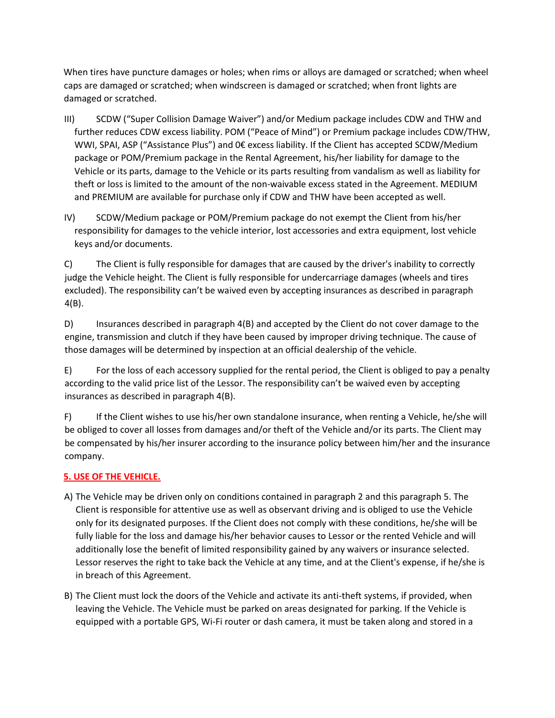When tires have puncture damages or holes; when rims or alloys are damaged or scratched; when wheel caps are damaged or scratched; when windscreen is damaged or scratched; when front lights are damaged or scratched.

- III) SCDW ("Super Collision Damage Waiver") and/or Medium package includes CDW and THW and further reduces CDW excess liability. POM ("Peace of Mind") or Premium package includes CDW/THW, WWI, SPAI, ASP ("Assistance Plus") and 0€ excess liability. If the Client has accepted SCDW/Medium package or POM/Premium package in the Rental Agreement, his/her liability for damage to the Vehicle or its parts, damage to the Vehicle or its parts resulting from vandalism as well as liability for theft or loss is limited to the amount of the non-waivable excess stated in the Agreement. MEDIUM and PREMIUM are available for purchase only if CDW and THW have been accepted as well.
- IV) SCDW/Medium package or POM/Premium package do not exempt the Client from his/her responsibility for damages to the vehicle interior, lost accessories and extra equipment, lost vehicle keys and/or documents.

C) The Client is fully responsible for damages that are caused by the driver's inability to correctly judge the Vehicle height. The Client is fully responsible for undercarriage damages (wheels and tires excluded). The responsibility can't be waived even by accepting insurances as described in paragraph 4(B).

D) Insurances described in paragraph 4(B) and accepted by the Client do not cover damage to the engine, transmission and clutch if they have been caused by improper driving technique. The cause of those damages will be determined by inspection at an official dealership of the vehicle.

E) For the loss of each accessory supplied for the rental period, the Client is obliged to pay a penalty according to the valid price list of the Lessor. The responsibility can't be waived even by accepting insurances as described in paragraph 4(B).

F) If the Client wishes to use his/her own standalone insurance, when renting a Vehicle, he/she will be obliged to cover all losses from damages and/or theft of the Vehicle and/or its parts. The Client may be compensated by his/her insurer according to the insurance policy between him/her and the insurance company.

# **5. USE OF THE VEHICLE.**

- A) The Vehicle may be driven only on conditions contained in paragraph 2 and this paragraph 5. The Client is responsible for attentive use as well as observant driving and is obliged to use the Vehicle only for its designated purposes. If the Client does not comply with these conditions, he/she will be fully liable for the loss and damage his/her behavior causes to Lessor or the rented Vehicle and will additionally lose the benefit of limited responsibility gained by any waivers or insurance selected. Lessor reserves the right to take back the Vehicle at any time, and at the Client's expense, if he/she is in breach of this Agreement.
- B) The Client must lock the doors of the Vehicle and activate its anti-theft systems, if provided, when leaving the Vehicle. The Vehicle must be parked on areas designated for parking. If the Vehicle is equipped with a portable GPS, Wi-Fi router or dash camera, it must be taken along and stored in a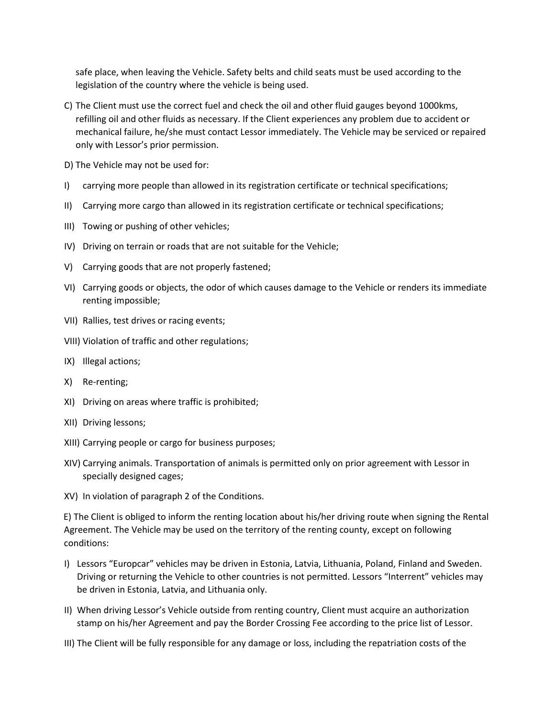safe place, when leaving the Vehicle. Safety belts and child seats must be used according to the legislation of the country where the vehicle is being used.

- C) The Client must use the correct fuel and check the oil and other fluid gauges beyond 1000kms, refilling oil and other fluids as necessary. If the Client experiences any problem due to accident or mechanical failure, he/she must contact Lessor immediately. The Vehicle may be serviced or repaired only with Lessor's prior permission.
- D) The Vehicle may not be used for:
- I) carrying more people than allowed in its registration certificate or technical specifications;
- II) Carrying more cargo than allowed in its registration certificate or technical specifications;
- III) Towing or pushing of other vehicles;
- IV) Driving on terrain or roads that are not suitable for the Vehicle;
- V) Carrying goods that are not properly fastened;
- VI) Carrying goods or objects, the odor of which causes damage to the Vehicle or renders its immediate renting impossible;
- VII) Rallies, test drives or racing events;
- VIII) Violation of traffic and other regulations;
- IX) Illegal actions;
- X) Re-renting;
- XI) Driving on areas where traffic is prohibited;
- XII) Driving lessons;
- XIII) Carrying people or cargo for business purposes;
- XIV) Carrying animals. Transportation of animals is permitted only on prior agreement with Lessor in specially designed cages;
- XV) In violation of paragraph 2 of the Conditions.

E) The Client is obliged to inform the renting location about his/her driving route when signing the Rental Agreement. The Vehicle may be used on the territory of the renting county, except on following conditions:

- I) Lessors "Europcar" vehicles may be driven in Estonia, Latvia, Lithuania, Poland, Finland and Sweden. Driving or returning the Vehicle to other countries is not permitted. Lessors "Interrent" vehicles may be driven in Estonia, Latvia, and Lithuania only.
- II) When driving Lessor's Vehicle outside from renting country, Client must acquire an authorization stamp on his/her Agreement and pay the Border Crossing Fee according to the price list of Lessor.
- III) The Client will be fully responsible for any damage or loss, including the repatriation costs of the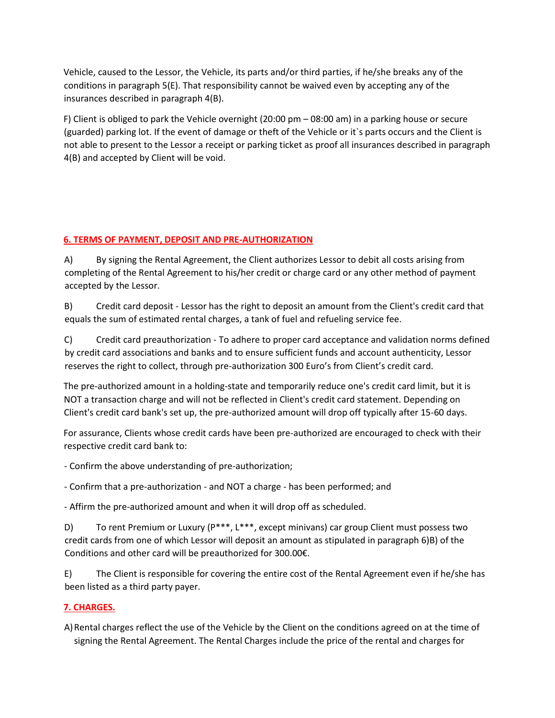Vehicle, caused to the Lessor, the Vehicle, its parts and/or third parties, if he/she breaks any of the conditions in paragraph 5(E). That responsibility cannot be waived even by accepting any of the insurances described in paragraph 4(B).

F) Client is obliged to park the Vehicle overnight (20:00 pm – 08:00 am) in a parking house or secure (guarded) parking lot. If the event of damage or theft of the Vehicle or it`s parts occurs and the Client is not able to present to the Lessor a receipt or parking ticket as proof all insurances described in paragraph 4(B) and accepted by Client will be void.

## **6. TERMS OF PAYMENT, DEPOSIT AND PRE-AUTHORIZATION**

A) By signing the Rental Agreement, the Client authorizes Lessor to debit all costs arising from completing of the Rental Agreement to his/her credit or charge card or any other method of payment accepted by the Lessor.

B) Credit card deposit - Lessor has the right to deposit an amount from the Client's credit card that equals the sum of estimated rental charges, a tank of fuel and refueling service fee.

C) Credit card preauthorization - To adhere to proper card acceptance and validation norms defined by credit card associations and banks and to ensure sufficient funds and account authenticity, Lessor reserves the right to collect, through pre-authorization 300 Euro's from Client's credit card.

The pre-authorized amount in a holding-state and temporarily reduce one's credit card limit, but it is NOT a transaction charge and will not be reflected in Client's credit card statement. Depending on Client's credit card bank's set up, the pre-authorized amount will drop off typically after 15-60 days.

For assurance, Clients whose credit cards have been pre-authorized are encouraged to check with their respective credit card bank to:

- Confirm the above understanding of pre-authorization;

- Confirm that a pre-authorization - and NOT a charge - has been performed; and

- Affirm the pre-authorized amount and when it will drop off as scheduled.

D) To rent Premium or Luxury ( $P***$ ,  $L***$ , except minivans) car group Client must possess two credit cards from one of which Lessor will deposit an amount as stipulated in paragraph 6)B) of the Conditions and other card will be preauthorized for 300.00€.

E) The Client is responsible for covering the entire cost of the Rental Agreement even if he/she has been listed as a third party payer.

# **7. CHARGES.**

A)Rental charges reflect the use of the Vehicle by the Client on the conditions agreed on at the time of signing the Rental Agreement. The Rental Charges include the price of the rental and charges for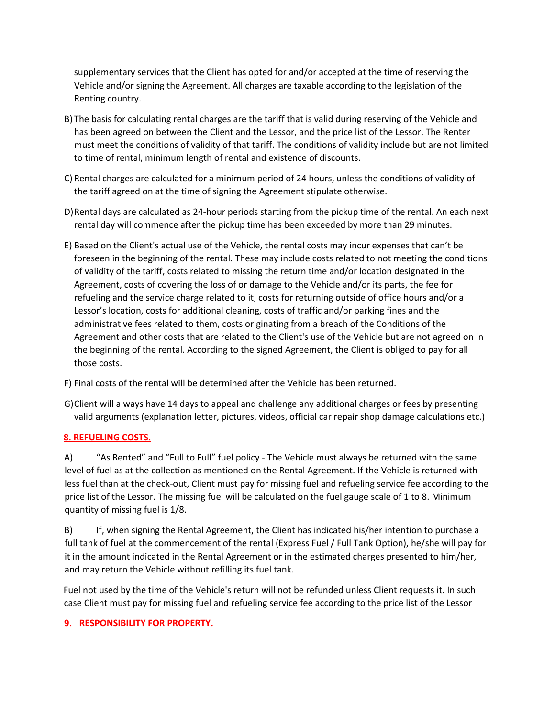supplementary services that the Client has opted for and/or accepted at the time of reserving the Vehicle and/or signing the Agreement. All charges are taxable according to the legislation of the Renting country.

- B) The basis for calculating rental charges are the tariff that is valid during reserving of the Vehicle and has been agreed on between the Client and the Lessor, and the price list of the Lessor. The Renter must meet the conditions of validity of that tariff. The conditions of validity include but are not limited to time of rental, minimum length of rental and existence of discounts.
- C) Rental charges are calculated for a minimum period of 24 hours, unless the conditions of validity of the tariff agreed on at the time of signing the Agreement stipulate otherwise.
- D)Rental days are calculated as 24-hour periods starting from the pickup time of the rental. An each next rental day will commence after the pickup time has been exceeded by more than 29 minutes.
- E) Based on the Client's actual use of the Vehicle, the rental costs may incur expenses that can't be foreseen in the beginning of the rental. These may include costs related to not meeting the conditions of validity of the tariff, costs related to missing the return time and/or location designated in the Agreement, costs of covering the loss of or damage to the Vehicle and/or its parts, the fee for refueling and the service charge related to it, costs for returning outside of office hours and/or a Lessor's location, costs for additional cleaning, costs of traffic and/or parking fines and the administrative fees related to them, costs originating from a breach of the Conditions of the Agreement and other costs that are related to the Client's use of the Vehicle but are not agreed on in the beginning of the rental. According to the signed Agreement, the Client is obliged to pay for all those costs.
- F) Final costs of the rental will be determined after the Vehicle has been returned.
- G)Client will always have 14 days to appeal and challenge any additional charges or fees by presenting valid arguments (explanation letter, pictures, videos, official car repair shop damage calculations etc.)

#### **8. REFUELING COSTS.**

A) "As Rented" and "Full to Full" fuel policy - The Vehicle must always be returned with the same level of fuel as at the collection as mentioned on the Rental Agreement. If the Vehicle is returned with less fuel than at the check-out, Client must pay for missing fuel and refueling service fee according to the price list of the Lessor. The missing fuel will be calculated on the fuel gauge scale of 1 to 8. Minimum quantity of missing fuel is 1/8.

B) If, when signing the Rental Agreement, the Client has indicated his/her intention to purchase a full tank of fuel at the commencement of the rental (Express Fuel / Full Tank Option), he/she will pay for it in the amount indicated in the Rental Agreement or in the estimated charges presented to him/her, and may return the Vehicle without refilling its fuel tank.

Fuel not used by the time of the Vehicle's return will not be refunded unless Client requests it. In such case Client must pay for missing fuel and refueling service fee according to the price list of the Lessor

## **9. RESPONSIBILITY FOR PROPERTY.**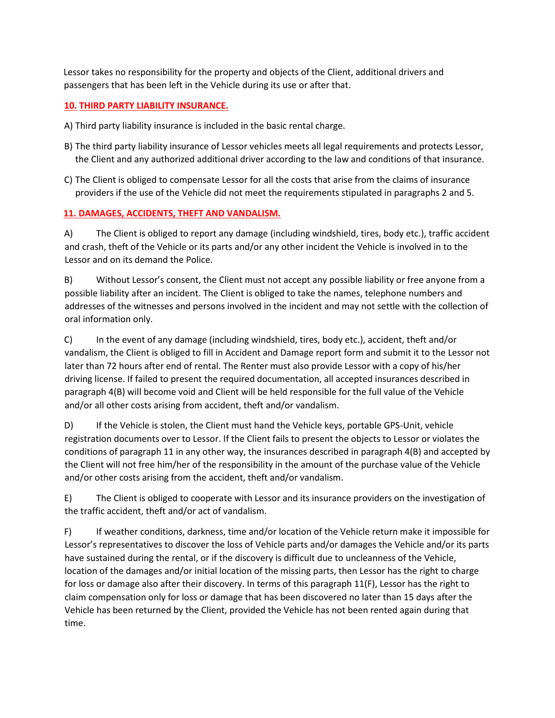Lessor takes no responsibility for the property and objects of the Client, additional drivers and passengers that has been left in the Vehicle during its use or after that.

## **10. THIRD PARTY LIABILITY INSURANCE.**

- A) Third party liability insurance is included in the basic rental charge.
- B) The third party liability insurance of Lessor vehicles meets all legal requirements and protects Lessor, the Client and any authorized additional driver according to the law and conditions of that insurance.
- C) The Client is obliged to compensate Lessor for all the costs that arise from the claims of insurance providers if the use of the Vehicle did not meet the requirements stipulated in paragraphs 2 and 5.

## **11. DAMAGES, ACCIDENTS, THEFT AND VANDALISM.**

A) The Client is obliged to report any damage (including windshield, tires, body etc.), traffic accident and crash, theft of the Vehicle or its parts and/or any other incident the Vehicle is involved in to the Lessor and on its demand the Police.

B) Without Lessor's consent, the Client must not accept any possible liability or free anyone from a possible liability after an incident. The Client is obliged to take the names, telephone numbers and addresses of the witnesses and persons involved in the incident and may not settle with the collection of oral information only.

C) In the event of any damage (including windshield, tires, body etc.), accident, theft and/or vandalism, the Client is obliged to fill in Accident and Damage report form and submit it to the Lessor not later than 72 hours after end of rental. The Renter must also provide Lessor with a copy of his/her driving license. If failed to present the required documentation, all accepted insurances described in paragraph 4(B) will become void and Client will be held responsible for the full value of the Vehicle and/or all other costs arising from accident, theft and/or vandalism.

D) If the Vehicle is stolen, the Client must hand the Vehicle keys, portable GPS-Unit, vehicle registration documents over to Lessor. If the Client fails to present the objects to Lessor or violates the conditions of paragraph 11 in any other way, the insurances described in paragraph 4(B) and accepted by the Client will not free him/her of the responsibility in the amount of the purchase value of the Vehicle and/or other costs arising from the accident, theft and/or vandalism.

E) The Client is obliged to cooperate with Lessor and its insurance providers on the investigation of the traffic accident, theft and/or act of vandalism.

F) If weather conditions, darkness, time and/or location of the Vehicle return make it impossible for Lessor's representatives to discover the loss of Vehicle parts and/or damages the Vehicle and/or its parts have sustained during the rental, or if the discovery is difficult due to uncleanness of the Vehicle, location of the damages and/or initial location of the missing parts, then Lessor has the right to charge for loss or damage also after their discovery. In terms of this paragraph 11(F), Lessor has the right to claim compensation only for loss or damage that has been discovered no later than 15 days after the Vehicle has been returned by the Client, provided the Vehicle has not been rented again during that time.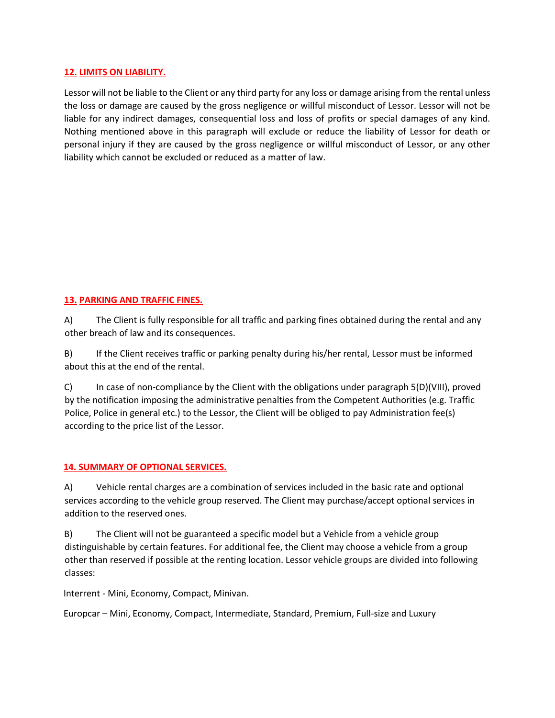#### **12. LIMITS ON LIABILITY.**

Lessor will not be liable to the Client or any third party for any loss or damage arising from the rental unless the loss or damage are caused by the gross negligence or willful misconduct of Lessor. Lessor will not be liable for any indirect damages, consequential loss and loss of profits or special damages of any kind. Nothing mentioned above in this paragraph will exclude or reduce the liability of Lessor for death or personal injury if they are caused by the gross negligence or willful misconduct of Lessor, or any other liability which cannot be excluded or reduced as a matter of law.

## **13. PARKING AND TRAFFIC FINES.**

A) The Client is fully responsible for all traffic and parking fines obtained during the rental and any other breach of law and its consequences.

B) If the Client receives traffic or parking penalty during his/her rental, Lessor must be informed about this at the end of the rental.

C) In case of non-compliance by the Client with the obligations under paragraph 5(D)(VIII), proved by the notification imposing the administrative penalties from the Competent Authorities (e.g. Traffic Police, Police in general etc.) to the Lessor, the Client will be obliged to pay Administration fee(s) according to the price list of the Lessor.

## **14. SUMMARY OF OPTIONAL SERVICES.**

A) Vehicle rental charges are a combination of services included in the basic rate and optional services according to the vehicle group reserved. The Client may purchase/accept optional services in addition to the reserved ones.

B) The Client will not be guaranteed a specific model but a Vehicle from a vehicle group distinguishable by certain features. For additional fee, the Client may choose a vehicle from a group other than reserved if possible at the renting location. Lessor vehicle groups are divided into following classes:

Interrent - Mini, Economy, Compact, Minivan.

Europcar – Mini, Economy, Compact, Intermediate, Standard, Premium, Full-size and Luxury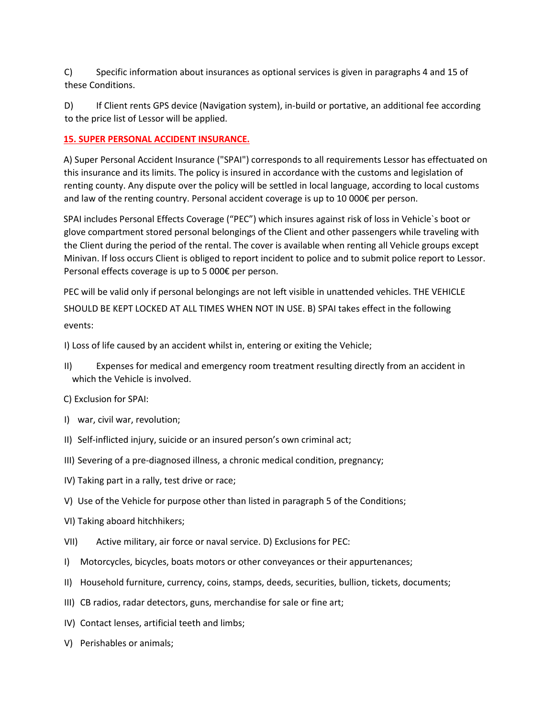C) Specific information about insurances as optional services is given in paragraphs 4 and 15 of these Conditions.

D) If Client rents GPS device (Navigation system), in-build or portative, an additional fee according to the price list of Lessor will be applied.

#### **15. SUPER PERSONAL ACCIDENT INSURANCE.**

A) Super Personal Accident Insurance ("SPAI") corresponds to all requirements Lessor has effectuated on this insurance and its limits. The policy is insured in accordance with the customs and legislation of renting county. Any dispute over the policy will be settled in local language, according to local customs and law of the renting country. Personal accident coverage is up to 10 000€ per person.

SPAI includes Personal Effects Coverage ("PEC") which insures against risk of loss in Vehicle`s boot or glove compartment stored personal belongings of the Client and other passengers while traveling with the Client during the period of the rental. The cover is available when renting all Vehicle groups except Minivan. If loss occurs Client is obliged to report incident to police and to submit police report to Lessor. Personal effects coverage is up to 5 000€ per person.

PEC will be valid only if personal belongings are not left visible in unattended vehicles. THE VEHICLE SHOULD BE KEPT LOCKED AT ALL TIMES WHEN NOT IN USE. B) SPAI takes effect in the following events:

I) Loss of life caused by an accident whilst in, entering or exiting the Vehicle;

- II) Expenses for medical and emergency room treatment resulting directly from an accident in which the Vehicle is involved.
- C) Exclusion for SPAI:
- I) war, civil war, revolution;
- II) Self-inflicted injury, suicide or an insured person's own criminal act;
- III) Severing of a pre-diagnosed illness, a chronic medical condition, pregnancy;
- IV) Taking part in a rally, test drive or race;
- V) Use of the Vehicle for purpose other than listed in paragraph 5 of the Conditions;
- VI) Taking aboard hitchhikers;
- VII) Active military, air force or naval service. D) Exclusions for PEC:
- I) Motorcycles, bicycles, boats motors or other conveyances or their appurtenances;
- II) Household furniture, currency, coins, stamps, deeds, securities, bullion, tickets, documents;
- III) CB radios, radar detectors, guns, merchandise for sale or fine art;
- IV) Contact lenses, artificial teeth and limbs;
- V) Perishables or animals;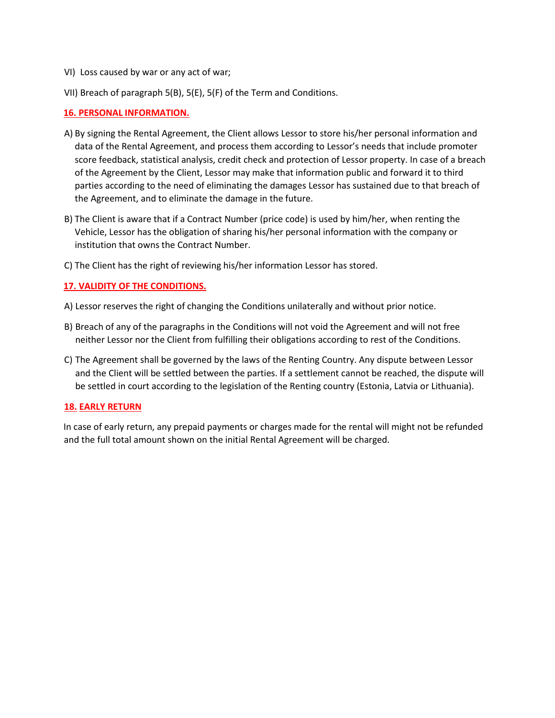- VI) Loss caused by war or any act of war;
- VII) Breach of paragraph 5(B), 5(E), 5(F) of the Term and Conditions.

#### **16. PERSONAL INFORMATION.**

- A) By signing the Rental Agreement, the Client allows Lessor to store his/her personal information and data of the Rental Agreement, and process them according to Lessor's needs that include promoter score feedback, statistical analysis, credit check and protection of Lessor property. In case of a breach of the Agreement by the Client, Lessor may make that information public and forward it to third parties according to the need of eliminating the damages Lessor has sustained due to that breach of the Agreement, and to eliminate the damage in the future.
- B) The Client is aware that if a Contract Number (price code) is used by him/her, when renting the Vehicle, Lessor has the obligation of sharing his/her personal information with the company or institution that owns the Contract Number.
- C) The Client has the right of reviewing his/her information Lessor has stored.

#### **17. VALIDITY OF THE CONDITIONS.**

- A) Lessor reserves the right of changing the Conditions unilaterally and without prior notice.
- B) Breach of any of the paragraphs in the Conditions will not void the Agreement and will not free neither Lessor nor the Client from fulfilling their obligations according to rest of the Conditions.
- C) The Agreement shall be governed by the laws of the Renting Country. Any dispute between Lessor and the Client will be settled between the parties. If a settlement cannot be reached, the dispute will be settled in court according to the legislation of the Renting country (Estonia, Latvia or Lithuania).

#### **18. EARLY RETURN**

In case of early return, any prepaid payments or charges made for the rental will might not be refunded and the full total amount shown on the initial Rental Agreement will be charged.